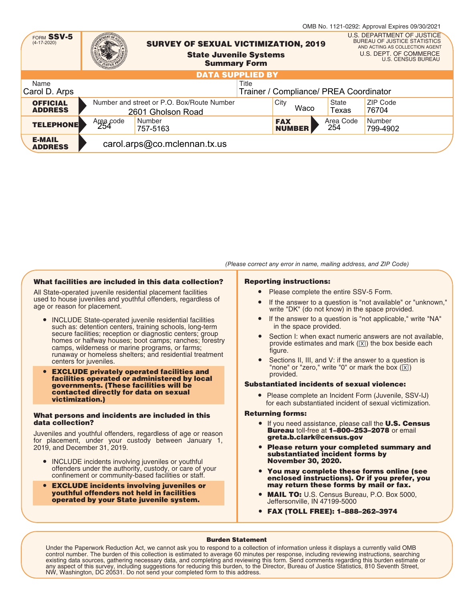|                                   |                  |                                                                 |                                                      |                  | OMB No. 1121-0292: Approval Expires 09/30/2021                                                                                                             |
|-----------------------------------|------------------|-----------------------------------------------------------------|------------------------------------------------------|------------------|------------------------------------------------------------------------------------------------------------------------------------------------------------|
| FORM SSV-5<br>$(4-17-2020)$       |                  | <b>SURVEY OF SEXUAL VICTIMIZATION, 2019</b>                     | <b>State Juvenile Systems</b><br><b>Summary Form</b> |                  | U.S. DEPARTMENT OF JUSTICE<br><b>BUREAU OF JUSTICE STATISTICS</b><br>AND ACTING AS COLLECTION AGENT<br>U.S. DEPT. OF COMMERCE<br><b>U.S. CENSUS BUREAU</b> |
|                                   |                  |                                                                 | <b>DATA SUPPLIED BY</b>                              |                  |                                                                                                                                                            |
| Name                              |                  |                                                                 | Title                                                |                  |                                                                                                                                                            |
| Carol D. Arps                     |                  |                                                                 | Trainer / Compliance/ PREA Coordinator               |                  |                                                                                                                                                            |
| <b>OFFICIAL</b><br><b>ADDRESS</b> |                  | Number and street or P.O. Box/Route Number<br>2601 Gholson Road | City<br>Waco                                         | State<br>Texas   | ZIP Code<br>76704                                                                                                                                          |
| <b>TELEPHONE</b>                  | Area code<br>254 | Number<br>757-5163                                              | <b>FAX</b><br><b>NUMBER</b>                          | Area Code<br>254 | Number<br>799-4902                                                                                                                                         |
| <b>E-MAIL</b><br><b>ADDRESS</b>   |                  | carol.arps@co.mclennan.tx.us                                    |                                                      |                  |                                                                                                                                                            |

# What facilities are included in this data collection?

All State-operated juvenile residential placement facilities used to house juveniles and youthful offenders, regardless of age or reason for placement.

- **INCLUDE State-operated juvenile residential facilities** such as: detention centers, training schools, long-term secure facilities; reception or diagnostic centers; group homes or halfway houses; boot camps; ranches; forestry camps, wilderness or marine programs, or farms; runaway or homeless shelters; and residential treatment centers for juveniles.
- EXCLUDE privately operated facilities and facilities operated or administered by local governments. (These facilities will be contacted directly for data on sexual victimization.)

#### What persons and incidents are included in this data collection?

Juveniles and youthful offenders, regardless of age or reason for placement, under your custody between January 1, 2019, and December 31, 2019.

- INCLUDE incidents involving iuveniles or youthful offenders under the authority, custody, or care of your confinement or community-based facilities or staff.
- EXCLUDE incidents involving juveniles or youthful offenders not held in facilities operated by your State juvenile system.

# (Please correct any error in name, mailing address, and ZIP Code)

# Reporting instructions:

- Please complete the entire SSV-5 Form.
- If the answer to a question is "not available" or "unknown," write "DK" (do not know) in the space provided.
- If the answer to a question is "not applicable," write "NA" in the space provided.
- Section I: when exact numeric answers are not available, provide estimates and mark  $(\sqrt{X})$  the box beside each figure.
- Sections II, III, and V: if the answer to a question is "none" or "zero," write "0" or mark the box  $(\overline{X})$ ) provided.

# Substantiated incidents of sexual violence:

● Please complete an Incident Form (Juvenile, SSV-IJ) for each substantiated incident of sexual victimization.

# Returning forms:

- If you need assistance, please call the **U.S. Census Bureau toll-free at 1-800-253-2078 or email** greta.b.clark@census.gov
- Please return your completed summary and substantiated incident forms by November 30, 2020.
- You may complete these forms online (see enclosed instructions). Or if you prefer, you may return these forms by mail or fax.
- MAIL TO: U.S. Census Bureau, P.O. Box 5000, Jeffersonville, IN 47199-5000
- FAX (TOLL FREE): 1–888–262–3974

# Burden Statement

Under the Paperwork Reduction Act, we cannot ask you to respond to a collection of information unless it displays a currently valid OMB control number. The burden of this collection is estimated to average 60 minutes per response, including reviewing instructions, searching<br>existing data sources, gathering necessary data, and completing and reviewing this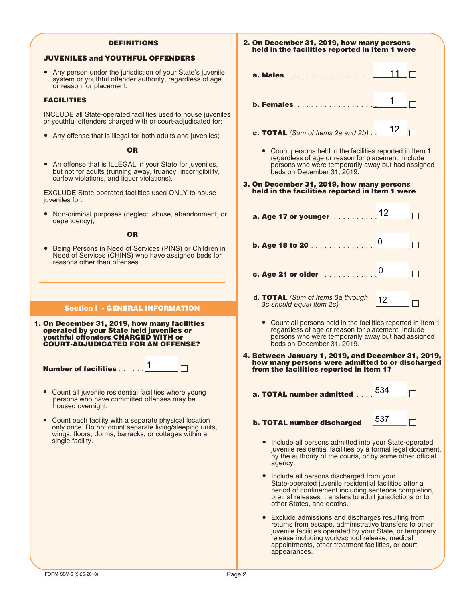# **DEFINITIONS**

# JUVENILES and YOUTHFUL OFFENDERS

● Any person under the jurisdiction of your State's juvenile system or youthful offender authority, regardless of age or reason for placement.

## FACILITIES

INCLUDE all State-operated facilities used to house juveniles or youthful offenders charged with or court-adjudicated for:

● Any offense that is illegal for both adults and juveniles;

OR

An offense that is ILLEGAL in your State for juveniles, but not for adults (running away, truancy, incorrigibility, curfew violations, and liquor violations).

EXCLUDE State-operated facilities used ONLY to house juveniles for:

● Non-criminal purposes (neglect, abuse, abandonment, or dependency);

**OR** 

● Being Persons in Need of Services (PINS) or Children in Need of Services (CHINS) who have assigned beds for reasons other than offenses.

# **Section I - GENERAL INFORMATION**

 $\Box$ 

1. On December 31, 2019, how many facilities operated by your State held juveniles or youthful offenders CHARGED WITH or COURT-ADJUDICATED FOR AN OFFENSE?

Number of facilities . . . . . . 1

- Count all juvenile residential facilities where young persons who have committed offenses may be housed overnight.
- Count each facility with a separate physical location only once. Do not count separate living/sleeping units, wings, floors, dorms, barracks, or cottages within a single facility.

| 2. On December 31, 2019, how many persons<br>held in the facilities reported in Item 1 were                                                                                                             |                 |  |  |  |  |  |
|---------------------------------------------------------------------------------------------------------------------------------------------------------------------------------------------------------|-----------------|--|--|--|--|--|
| a. Males                                                                                                                                                                                                | 11              |  |  |  |  |  |
| <b>b. Females</b>                                                                                                                                                                                       | 1               |  |  |  |  |  |
| c. TOTAL (Sum of Items 2a and $2b$ ).                                                                                                                                                                   | 12              |  |  |  |  |  |
| • Count persons held in the facilities reported in Item 1<br>regardless of age or reason for placement. Include<br>persons who were temporarily away but had assigned<br>beds on December 31, 2019.     |                 |  |  |  |  |  |
| 3. On December 31, 2019, how many persons<br>held in the facilities reported in Item 1 were                                                                                                             |                 |  |  |  |  |  |
| a. Age 17 or younger                                                                                                                                                                                    | 12              |  |  |  |  |  |
| b. Age 18 to 20                                                                                                                                                                                         | $\vert 0 \vert$ |  |  |  |  |  |
| c. Age 21 or older                                                                                                                                                                                      | <b>0</b>        |  |  |  |  |  |
| d. TOTAL (Sum of Items 3a through<br>3c should equal Item 2c)                                                                                                                                           | 12              |  |  |  |  |  |
| • Count all persons held in the facilities reported in Item 1<br>regardless of age or reason for placement. Include<br>persons who were temporarily away but had assigned<br>beds on December 31, 2019. |                 |  |  |  |  |  |
| 4. Between January 1, 2019, and December 31, 2019,<br>how many persons were admitted to or discharged<br>from the facilities reported in Item 1?                                                        |                 |  |  |  |  |  |
| a. TOTAL number admitted                                                                                                                                                                                | 534             |  |  |  |  |  |
| b. TOTAL number discharged                                                                                                                                                                              | 537             |  |  |  |  |  |
| Include all persons admitted into your State-operated<br>juvenile residential facilities by a formal legal document,<br>by the authority of the courts, or by some other official<br>agency.            |                 |  |  |  |  |  |
| Include all persons discharged from your<br>Ctate and invenile residential facilities after a                                                                                                           |                 |  |  |  |  |  |

- State-operated juvenile residential facilities after a period of confinement including sentence completion, pretrial releases, transfers to adult jurisdictions or to other States, and deaths.
- Exclude admissions and discharges resulting from returns from escape, administrative transfers to other juvenile facilities operated by your State, or temporary release including work/school release, medical appointments, other treatment facilities, or court appearances.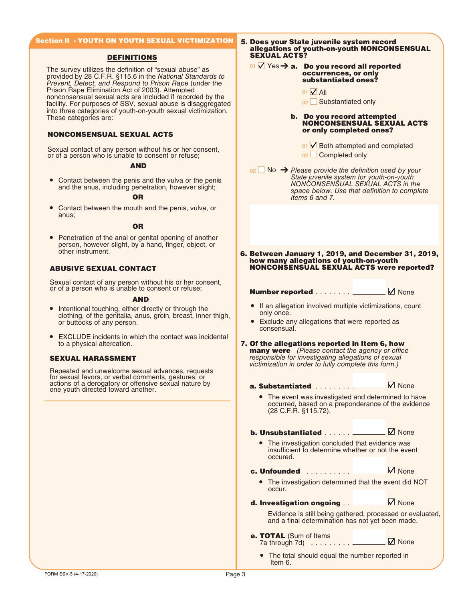# Section II - YOUTH ON YOUTH SEXUAL VICTIMIZATION

#### DEFINITIONS

The survey utilizes the definition of "sexual abuse" as provided by 28 C.F.R. §115.6 in the National Standards to Prevent, Detect, and Respond to Prison Rape (under the Prison Rape Elimination Act of 2003). Attempted nonconsensual sexual acts are included if recorded by the facility. For purposes of SSV, sexual abuse is disaggregated into three categories of youth-on-youth sexual victimization. These categories are:

## NONCONSENSUAL SEXUAL ACTS

Sexual contact of any person without his or her consent, or of a person who is unable to consent or refuse;

#### AND

Contact between the penis and the vulva or the penis and the anus, including penetration, however slight;

#### OR

● Contact between the mouth and the penis, vulva, or anus;

#### OR

● Penetration of the anal or genital opening of another person, however slight, by a hand, finger, object, or other instrument.

## ABUSIVE SEXUAL CONTACT

Sexual contact of any person without his or her consent, or of a person who is unable to consent or refuse;

### AND

- Intentional touching, either directly or through the clothing, of the genitalia, anus, groin, breast, inner thigh, or buttocks of any person.
- EXCLUDE incidents in which the contact was incidental to a physical altercation.

## SEXUAL HARASSMENT

Repeated and unwelcome sexual advances, requests for sexual favors, or verbal comments, gestures, or actions of a derogatory or offensive sexual nature by one youth directed toward another.

5. Does your State juvenile system record allegations of youth-on-youth NONCONSENSUAL SEXUAL ACTS?

#### 01  $\sqrt{ }$  Yes  $\rightarrow$  a. Do you record all reported occurrences, or only substantiated ones?

- $01$   $\sqrt{}$  All
- <sub>02</sub> □ Substantiated only

#### b. Do you record attempted NONCONSENSUAL SEXUAL ACTS or only completed ones?

 $01 \times$  Both attempted and completed 02 Completed only

 $_{02}$  No  $\rightarrow$  Please provide the definition used by your State juvenile system for youth-on-youth NONCONSENSUAL SEXUAL ACTS in the space below. Use that definition to complete Items 6 and 7.

6. Between January 1, 2019, and December 31, 2019, how many allegations of youth-on-youth NONCONSENSUAL SEXUAL ACTS were reported?

Number reported . . . . . . . . <u>Number reported</u> . . . . . . . . 2

- If an allegation involved multiple victimizations, count only once.
- Exclude any allegations that were reported as consensual.
- 7. Of the allegations reported in Item 6, how **many were** (Please contact the agency or office responsible for investigating allegations of sexual victimization in order to fully complete this form.)

a. Substantiated . . . . . . . . . None

The event was investigated and determined to have occurred, based on a preponderance of the evidence (28 C.F.R. §115.72).

**b. Unsubstantiated**  $\ldots$  . . . .  $\Box$  None

● The investigation concluded that evidence was insufficient to determine whether or not the event occured.

**c. Unfounded**  $\ldots$  . . . . . . .  $\Box$  None

- The investigation determined that the event did NOT occur.
- d. Investigation ongoing . . . . None

Evidence is still being gathered, processed or evaluated, and a final determination has not yet been made.

- e. TOTAL (Sum of Items 7a through 7d) . . . . . . . . . . None
	- The total should equal the number reported in Item 6.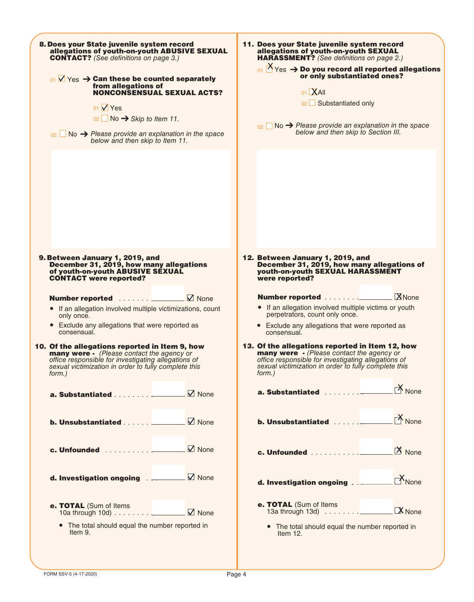| 8. Does your State juvenile system record<br>allegations of youth-on-youth ABUSIVE SEXUAL<br><b>CONTACT?</b> (See definitions on page 3.)<br>$_{01}$ $\sqrt{ }$ Yes $\rightarrow$ Can these be counted separately<br>from allegations of<br><b>NONCONSENSUAL SEXUAL ACTS?</b><br>01 $\sqrt{V}$ Yes<br>$02 \Box$ No $\rightarrow$ Skip to Item 11.<br>$_{02}$ No $\rightarrow$ Please provide an explanation in the space<br>below and then skip to Item 11.                                                                                                                            | 11. Does your State juvenile system record<br>allegations of youth-on-youth SEXUAL<br><b>HARASSMENT?</b> (See definitions on page 2.)<br>$\frac{1}{2}$ Yes $\rightarrow$ Do you record all reported allegations<br>or only substantiated ones?<br>01 XAII<br>02 Substantiated only<br>$_{02}$ No $\rightarrow$ Please provide an explanation in the space<br>below and then skip to Section III.                                                                                                                                               |
|----------------------------------------------------------------------------------------------------------------------------------------------------------------------------------------------------------------------------------------------------------------------------------------------------------------------------------------------------------------------------------------------------------------------------------------------------------------------------------------------------------------------------------------------------------------------------------------|------------------------------------------------------------------------------------------------------------------------------------------------------------------------------------------------------------------------------------------------------------------------------------------------------------------------------------------------------------------------------------------------------------------------------------------------------------------------------------------------------------------------------------------------|
| 9. Between January 1, 2019, and<br>December 31, 2019, how many allegations<br>of youth-on-youth ABUSIVE SEXUAL<br><b>CONTACT</b> were reported?                                                                                                                                                                                                                                                                                                                                                                                                                                        | 12. Between January 1, 2019, and<br>December 31, 2019, how many allegations of<br>youth-on-youth SEXUAL HARASSMENT<br>were reported?                                                                                                                                                                                                                                                                                                                                                                                                           |
| Number reported <u>Denverse M</u> None<br>• If an allegation involved multiple victimizations, count<br>only once.<br>• Exclude any allegations that were reported as<br>consensual.<br>10. Of the allegations reported in Item 9, how<br><b>many were</b> - (Please contact the agency or<br>office responsible for investigating allegations of<br>sexual victimization in order to fully complete this<br>form.)<br><b>b. Unsubstantiated</b> $\ldots$ $\ldots$ $\blacksquare$ None<br><b>c. Unfounded</b> $\Box$ None<br>d. Investigation ongoing . Mone<br>e. TOTAL (Sum of Items | • If an allegation involved multiple victims or youth<br>perpetrators, count only once.<br>• Exclude any allegations that were reported as<br>consensual.<br>13. Of the allegations reported in Item 12, how<br><b>many were</b> - (Please contact the agency or<br>office responsible for investigating allegations of<br>sexual victimization in order to fully complete this<br>form.)<br>$\cancel{N}$ None<br>$\mathsf{M}_{\mathsf{None}}$<br>$\overline{X}$ None<br>e. TOTAL (Sum of Items<br>13a through 13d) ____________ <b>X</b> None |
| • The total should equal the number reported in<br>Item 9.                                                                                                                                                                                                                                                                                                                                                                                                                                                                                                                             | • The total should equal the number reported in<br>Item $12.$                                                                                                                                                                                                                                                                                                                                                                                                                                                                                  |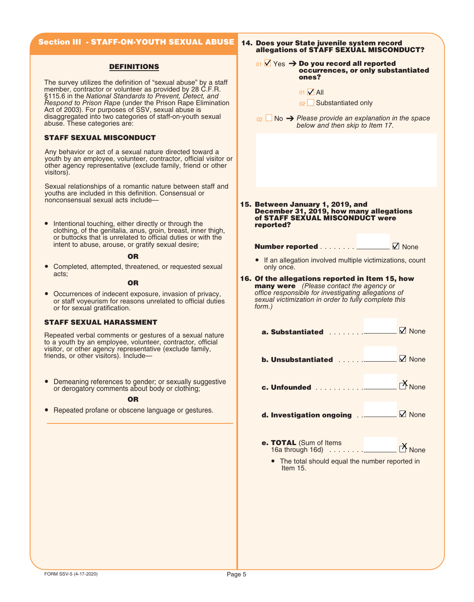# **Section III - STAFF-ON-YOUTH SEXUAL ABUSE**

# **DEFINITIONS**

The survey utilizes the definition of "sexual abuse" by a staff member, contractor or volunteer as provided by 28 C.F.R. §115.6 in the National Standards to Prevent, Detect, and Respond to Prison Rape (under the Prison Rape Elimination Act of 2003). For purposes of SSV, sexual abuse is disaggregated into two categories of staff-on-youth sexual abuse. These categories are:

## STAFF SEXUAL MISCONDUCT

Any behavior or act of a sexual nature directed toward a youth by an employee, volunteer, contractor, official visitor or other agency representative (exclude family, friend or other visitors).

Sexual relationships of a romantic nature between staff and youths are included in this definition. Consensual or nonconsensual sexual acts include—

● Intentional touching, either directly or through the clothing, of the genitalia, anus, groin, breast, inner thigh, or buttocks that is unrelated to official duties or with the intent to abuse, arouse, or gratify sexual desire;

#### OR

● Completed, attempted, threatened, or requested sexual acts;

#### OR

● Occurrences of indecent exposure, invasion of privacy, or staff voyeurism for reasons unrelated to official duties or for sexual gratification.

# STAFF SEXUAL HARASSMENT

Repeated verbal comments or gestures of a sexual nature to a youth by an employee, volunteer, contractor, official visitor, or other agency representative (exclude family, friends, or other visitors). Include—

● Demeaning references to gender; or sexually suggestive or derogatory comments about body or clothing;

#### OR

● Repeated profane or obscene language or gestures.

#### 14. Does your State juvenile system record allegations of STAFF SEXUAL MISCONDUCT?

#### $_{01}$   $\vee$  Yes  $\rightarrow$  Do you record all reported occurrences, or only substantiated ones?

 $01$   $\overline{V}$  All

o<sub>2</sub> Substantiated only

 $_{02}$  No  $\rightarrow$  Please provide an explanation in the space below and then skip to Item 17.

15. Between January 1, 2019, and December 31, 2019, how many allegations of STAFF SEXUAL MISCONDUCT were reported?

# Number reported . . . . . . . . \_\_\_\_\_\_\_\_ ☑ None

- If an allegation involved multiple victimizations, count only once.
- 16. Of the allegations reported in Item 15, how **many were** (Please contact the agency or office responsible for investigating allegations of sexual victimization in order to fully complete this form.)

**a. Substantiated**  $\ldots \ldots$   $\blacksquare$  None

- **b. Unsubstantiated**  $\ldots \ldots \ldots \square$  None
- c. Unfounded . . . . . . . . . . . . **X** None
- **d. Investigation ongoing**  $\Box$   $\Box$  None
- e. TOTAL (Sum of Items 16a through 16d) . . . . . . . . . .  $\mathsf{M}_{\mathsf{None}}$ 
	- The total should equal the number reported in Item 15.